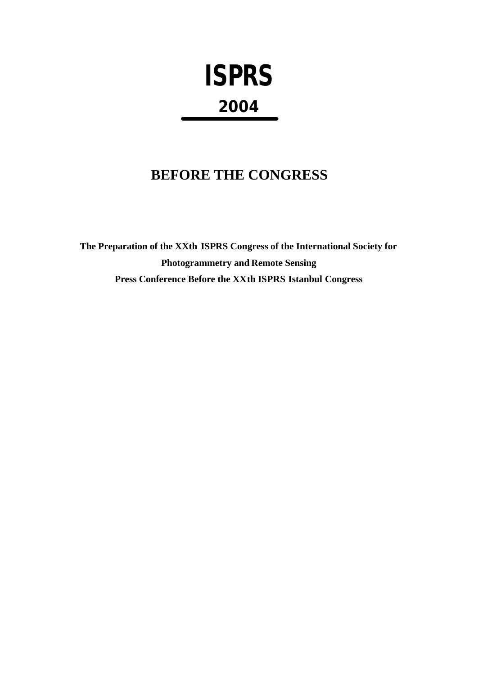# **ISPRS 2004**

## **BEFORE THE CONGRESS**

**The Preparation of the XXth ISPRS Congress of the International Society for Photogrammetry and Remote Sensing Press Conference Before the XXth ISPRS Istanbul Congress**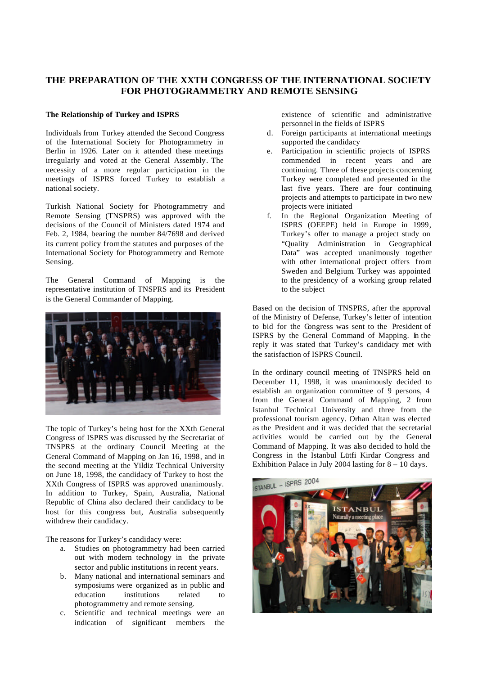### **THE PREPARATION OF THE XXTH CONGRESS OF THE INTERNATIONAL SOCIETY FOR PHOTOGRAMMETRY AND REMOTE SENSING**

#### **The Relationship of Turkey and ISPRS**

Individuals from Turkey attended the Second Congress of the International Society for Photogrammetry in Berlin in 1926. Later on it attended these meetings irregularly and voted at the General Assembly. The necessity of a more regular participation in the meetings of ISPRS forced Turkey to establish a national society.

Turkish National Society for Photogrammetry and Remote Sensing (TNSPRS) was approved with the decisions of the Council of Ministers dated 1974 and Feb. 2, 1984, bearing the number 84/7698 and derived its current policy from the statutes and purposes of the International Society for Photogrammetry and Remote Sensing.

The General Command of Mapping is the representative institution of TNSPRS and its President is the General Commander of Mapping.



The topic of Turkey's being host for the XXth General Congress of ISPRS was discussed by the Secretariat of TNSPRS at the ordinary Council Meeting at the General Command of Mapping on Jan 16, 1998, and in the second meeting at the Yildiz Technical University on June 18, 1998, the candidacy of Turkey to host the XXth Congress of ISPRS was approved unanimously. In addition to Turkey, Spain, Australia, National Republic of China also declared their candidacy to be host for this congress but, Australia subsequently withdrew their candidacy.

The reasons for Turkey's candidacy were:

- a. Studies on photogrammetry had been carried out with modern technology in the private sector and public institutions in recent years.
- b. Many national and international seminars and symposiums were organized as in public and education institutions related to photogrammetry and remote sensing.
- c. Scientific and technical meetings were an indication of significant members the

existence of scientific and administrative personnel in the fields of ISPRS

- d. Foreign participants at international meetings supported the candidacy
- e. Participation in scientific projects of ISPRS commended in recent years and are continuing. Three of these projects concerning Turkey were completed and presented in the last five years. There are four continuing projects and attempts to participate in two new projects were initiated
- f. In the Regional Organization Meeting of ISPRS (OEEPE) held in Europe in 1999, Turkey's offer to manage a project study on "Quality Administration in Geographical Data" was accepted unanimously together with other international project offers from Sweden and Belgium. Turkey was appointed to the presidency of a working group related to the subject

Based on the decision of TNSPRS, after the approval of the Ministry of Defense, Turkey's letter of intention to bid for the Congress was sent to the President of ISPRS by the General Command of Mapping. In the reply it was stated that Turkey's candidacy met with the satisfaction of ISPRS Council.

In the ordinary council meeting of TNSPRS held on December 11, 1998, it was unanimously decided to establish an organization committee of 9 persons, 4 from the General Command of Mapping, 2 from Istanbul Technical University and three from the professional tourism agency. Orhan Altan was elected as the President and it was decided that the secretarial activities would be carried out by the General Command of Mapping. It was also decided to hold the Congress in the Istanbul Lütfi Kirdar Congress and Exhibition Palace in July 2004 lasting for  $8 - 10$  days.

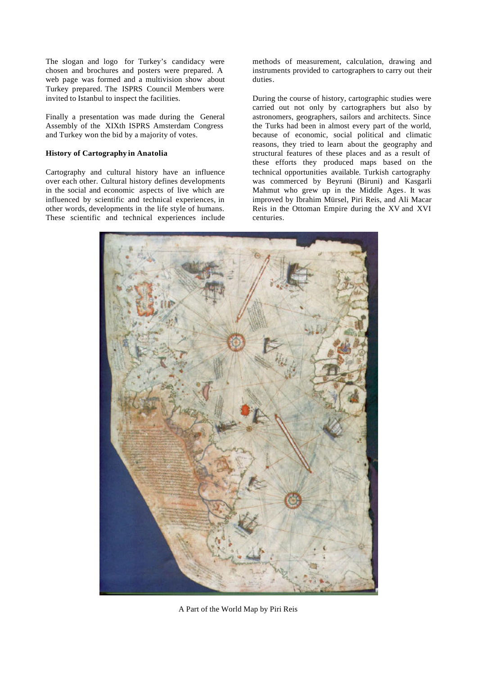The slogan and logo for Turkey's candidacy were chosen and brochures and posters were prepared. A web page was formed and a multivision show about Turkey prepared. The ISPRS Council Members were invited to Istanbul to inspect the facilities.

Finally a presentation was made during the General Assembly of the XIXth ISPRS Amsterdam Congress and Turkey won the bid by a majority of votes.

#### **History of Cartography in Anatolia**

Cartography and cultural history have an influence over each other. Cultural history defines developments in the social and economic aspects of live which are influenced by scientific and technical experiences, in other words, developments in the life style of humans. These scientific and technical experiences include methods of measurement, calculation, drawing and instruments provided to cartographers to carry out their duties.

During the course of history, cartographic studies were carried out not only by cartographers but also by astronomers, geographers, sailors and architects. Since the Turks had been in almost every part of the world, because of economic, social political and climatic reasons, they tried to learn about the geography and structural features of these places and as a result of these efforts they produced maps based on the technical opportunities available. Turkish cartography was commerced by Beyruni (Biruni) and Kasgarli Mahmut who grew up in the Middle Ages. It was improved by Ibrahim Mürsel, Piri Reis, and Ali Macar Reis in the Ottoman Empire during the XV and XVI centuries.



A Part of the World Map by Piri Reis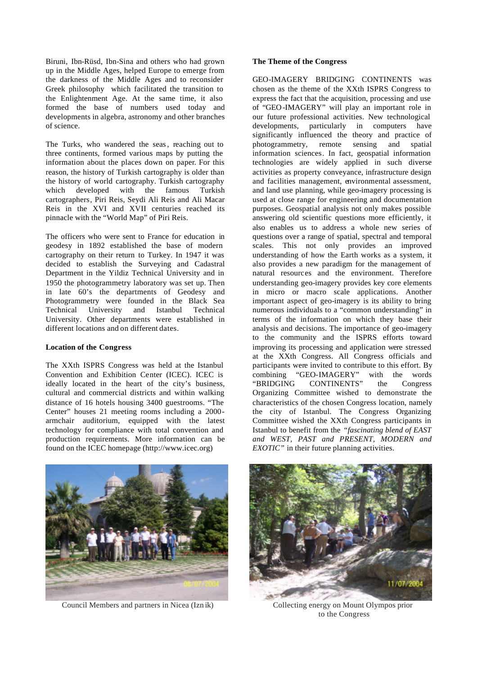Biruni, Ibn-Rüsd, Ibn-Sina and others who had grown up in the Middle Ages, helped Europe to emerge from the darkness of the Middle Ages and to reconsider Greek philosophy which facilitated the transition to the Enlightenment Age. At the same time, it also formed the base of numbers used today and developments in algebra, astronomy and other branches of science.

The Turks, who wandered the seas, reaching out to three continents, formed various maps by putting the information about the places down on paper. For this reason, the history of Turkish cartography is older than the history of world cartography. Turkish cartography which developed with the famous Turkish cartographers, Piri Reis, Seydi Ali Reis and Ali Macar Reis in the XVI and XVII centuries reached its pinnacle with the "World Map" of Piri Reis.

The officers who were sent to France for education in geodesy in 1892 established the base of modern cartography on their return to Turkey. In 1947 it was decided to establish the Surveying and Cadastral Department in the Yildiz Technical University and in 1950 the photogrammetry laboratory was set up. Then in late 60's the departments of Geodesy and Photogrammetry were founded in the Black Sea Technical University and Istanbul Technical University. Other departments were established in different locations and on different dates.

#### **Location of the Congress**

The XXth ISPRS Congress was held at the Istanbul Convention and Exhibition Center (ICEC). ICEC is ideally located in the heart of the city's business, cultural and commercial districts and within walking distance of 16 hotels housing 3400 guestrooms. "The Center" houses 21 meeting rooms including a 2000 armchair auditorium, equipped with the latest technology for compliance with total convention and production requirements. More information can be found on the ICEC homepage (http://www.icec.org)

#### **The Theme of the Congress**

GEO-IMAGERY BRIDGING CONTINENTS was chosen as the theme of the XXth ISPRS Congress to express the fact that the acquisition, processing and use of "GEO-IMAGERY" will play an important role in our future professional activities. New technological developments, particularly in computers have significantly influenced the theory and practice of photogrammetry, remote sensing and spatial information sciences. In fact, geospatial information technologies are widely applied in such diverse activities as property conveyance, infrastructure design and facilities management, environmental assessment, and land use planning, while geo-imagery processing is used at close range for engineering and documentation purposes. Geospatial analysis not only makes possible answering old scientific questions more efficiently, it also enables us to address a whole new series of questions over a range of spatial, spectral and temporal scales. This not only provides an improved understanding of how the Earth works as a system, it also provides a new paradigm for the management of natural resources and the environment. Therefore understanding geo-imagery provides key core elements in micro or macro scale applications. Another important aspect of geo-imagery is its ability to bring numerous individuals to a "common understanding" in terms of the information on which they base their analysis and decisions. The importance of geo-imagery to the community and the ISPRS efforts toward improving its processing and application were stressed at the XXth Congress. All Congress officials and participants were invited to contribute to this effort. By combining "GEO-IMAGERY" with the words "BRIDGING CONTINENTS" the Congress Organizing Committee wished to demonstrate the characteristics of the chosen Congress location, namely the city of Istanbul. The Congress Organizing Committee wished the XXth Congress participants in Istanbul to benefit from the *"fascinating blend of EAST and WEST, PAST and PRESENT, MODERN and EXOTIC"* in their future planning activities.



Council Members and partners in Nicea (Izn ik) Collecting energy on Mount Olympos prior



to the Congress